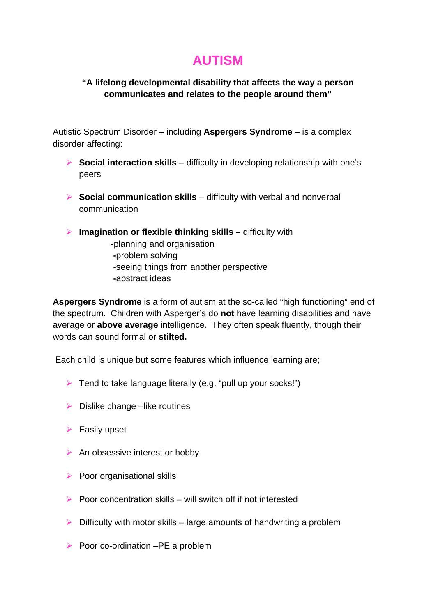## **AUTISM**

## **"A lifelong developmental disability that affects the way a person communicates and relates to the people around them"**

Autistic Spectrum Disorder – including **Aspergers Syndrome** – is a complex disorder affecting:

- **► Social interaction skills** difficulty in developing relationship with one's peers
- **► Social communication skills** difficulty with verbal and nonverbal communication
- **Imagination or flexible thinking skills difficulty with -**planning and organisation **-**problem solving  **-**seeing things from another perspective  **-**abstract ideas

**Aspergers Syndrome** is a form of autism at the so-called "high functioning" end of the spectrum. Children with Asperger's do **not** have learning disabilities and have average or **above average** intelligence. They often speak fluently, though their words can sound formal or **stilted.** 

Each child is unique but some features which influence learning are;

- $\triangleright$  Tend to take language literally (e.g. "pull up your socks!")
- $\triangleright$  Dislike change –like routines
- $\triangleright$  Easily upset
- $\triangleright$  An obsessive interest or hobby
- $\triangleright$  Poor organisational skills
- $\triangleright$  Poor concentration skills will switch off if not interested
- $\triangleright$  Difficulty with motor skills large amounts of handwriting a problem
- Poor co-ordination –PE a problem